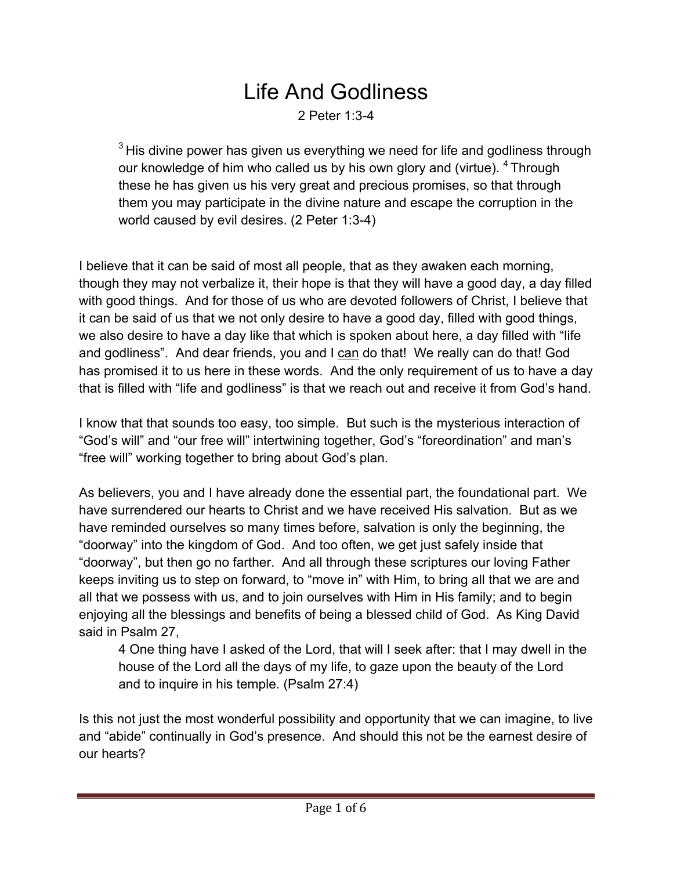## Life And Godliness 2 Peter 1:3-4

 $3$  His divine power has given us everything we need for life and godliness through our knowledge of him who called us by his own glory and (virtue). <sup>4</sup> Through these he has given us his very great and precious promises, so that through them you may participate in the divine nature and escape the corruption in the world caused by evil desires. (2 Peter 1:3-4)

I believe that it can be said of most all people, that as they awaken each morning, though they may not verbalize it, their hope is that they will have a good day, a day filled with good things. And for those of us who are devoted followers of Christ, I believe that it can be said of us that we not only desire to have a good day, filled with good things, we also desire to have a day like that which is spoken about here, a day filled with "life and godliness". And dear friends, you and I can do that! We really can do that! God has promised it to us here in these words. And the only requirement of us to have a day that is filled with "life and godliness" is that we reach out and receive it from God's hand.

I know that that sounds too easy, too simple. But such is the mysterious interaction of "God's will" and "our free will" intertwining together, God's "foreordination" and man's "free will" working together to bring about God's plan.

As believers, you and I have already done the essential part, the foundational part. We have surrendered our hearts to Christ and we have received His salvation. But as we have reminded ourselves so many times before, salvation is only the beginning, the "doorway" into the kingdom of God. And too often, we get just safely inside that "doorway", but then go no farther. And all through these scriptures our loving Father keeps inviting us to step on forward, to "move in" with Him, to bring all that we are and all that we possess with us, and to join ourselves with Him in His family; and to begin enjoying all the blessings and benefits of being a blessed child of God. As King David said in Psalm 27,

4 One thing have I asked of the Lord, that will I seek after: that I may dwell in the house of the Lord all the days of my life, to gaze upon the beauty of the Lord and to inquire in his temple. (Psalm 27:4)

Is this not just the most wonderful possibility and opportunity that we can imagine, to live and "abide" continually in God's presence. And should this not be the earnest desire of our hearts?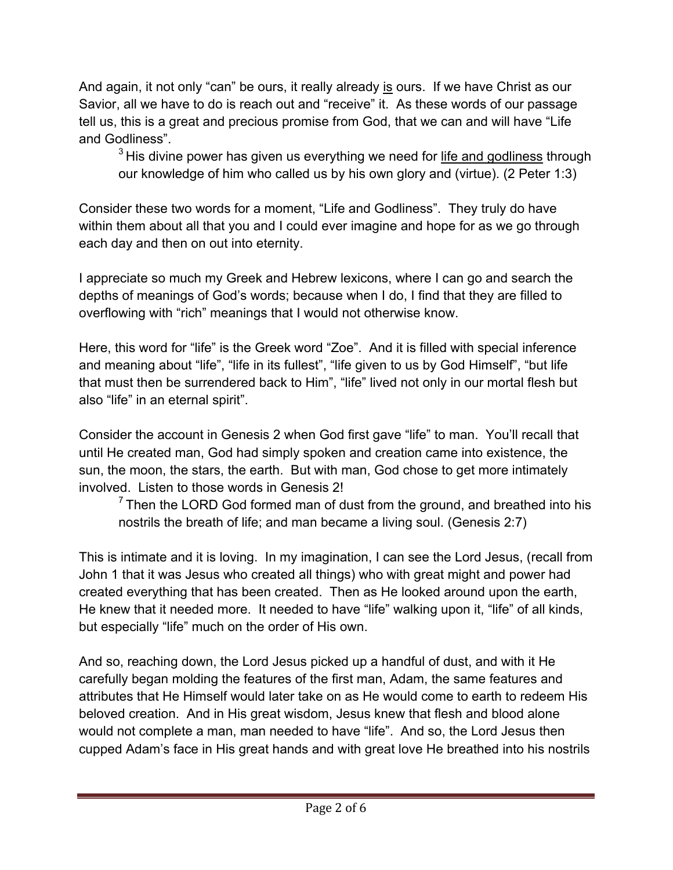And again, it not only "can" be ours, it really already is ours. If we have Christ as our Savior, all we have to do is reach out and "receive" it. As these words of our passage tell us, this is a great and precious promise from God, that we can and will have "Life and Godliness".

 $3$  His divine power has given us everything we need for life and godliness through our knowledge of him who called us by his own glory and (virtue). (2 Peter 1:3)

Consider these two words for a moment, "Life and Godliness". They truly do have within them about all that you and I could ever imagine and hope for as we go through each day and then on out into eternity.

I appreciate so much my Greek and Hebrew lexicons, where I can go and search the depths of meanings of God's words; because when I do, I find that they are filled to overflowing with "rich" meanings that I would not otherwise know.

Here, this word for "life" is the Greek word "Zoe". And it is filled with special inference and meaning about "life", "life in its fullest", "life given to us by God Himself", "but life that must then be surrendered back to Him", "life" lived not only in our mortal flesh but also "life" in an eternal spirit".

Consider the account in Genesis 2 when God first gave "life" to man. You'll recall that until He created man, God had simply spoken and creation came into existence, the sun, the moon, the stars, the earth. But with man, God chose to get more intimately involved. Listen to those words in Genesis 2!

 $<sup>7</sup>$  Then the LORD God formed man of dust from the ground, and breathed into his</sup> nostrils the breath of life; and man became a living soul. (Genesis 2:7)

This is intimate and it is loving. In my imagination, I can see the Lord Jesus, (recall from John 1 that it was Jesus who created all things) who with great might and power had created everything that has been created. Then as He looked around upon the earth, He knew that it needed more. It needed to have "life" walking upon it, "life" of all kinds, but especially "life" much on the order of His own.

And so, reaching down, the Lord Jesus picked up a handful of dust, and with it He carefully began molding the features of the first man, Adam, the same features and attributes that He Himself would later take on as He would come to earth to redeem His beloved creation. And in His great wisdom, Jesus knew that flesh and blood alone would not complete a man, man needed to have "life". And so, the Lord Jesus then cupped Adam's face in His great hands and with great love He breathed into his nostrils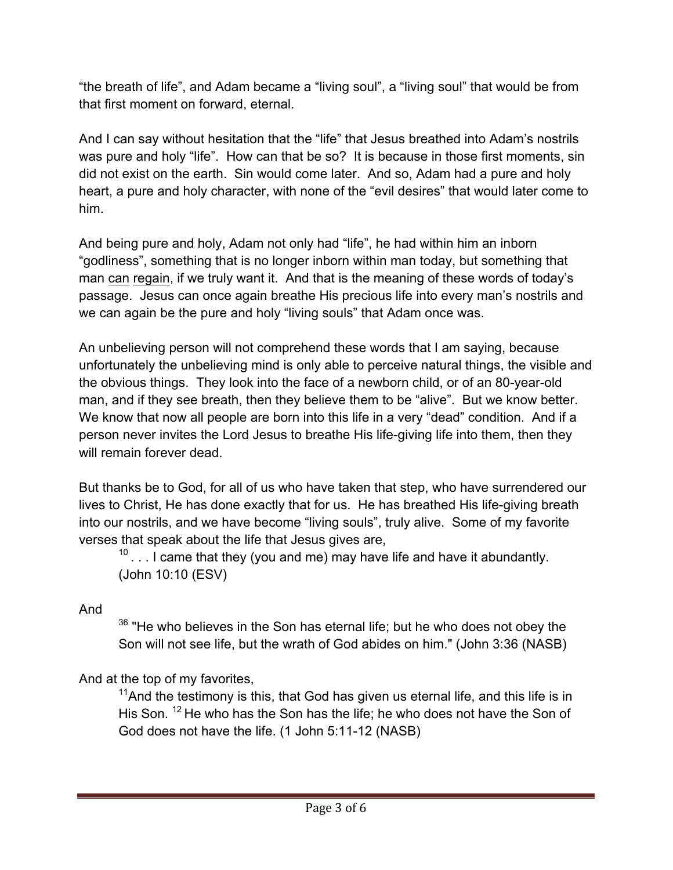"the breath of life", and Adam became a "living soul", a "living soul" that would be from that first moment on forward, eternal.

And I can say without hesitation that the "life" that Jesus breathed into Adam's nostrils was pure and holy "life". How can that be so? It is because in those first moments, sin did not exist on the earth. Sin would come later. And so, Adam had a pure and holy heart, a pure and holy character, with none of the "evil desires" that would later come to him.

And being pure and holy, Adam not only had "life", he had within him an inborn "godliness", something that is no longer inborn within man today, but something that man can regain, if we truly want it. And that is the meaning of these words of today's passage. Jesus can once again breathe His precious life into every man's nostrils and we can again be the pure and holy "living souls" that Adam once was.

An unbelieving person will not comprehend these words that I am saying, because unfortunately the unbelieving mind is only able to perceive natural things, the visible and the obvious things. They look into the face of a newborn child, or of an 80-year-old man, and if they see breath, then they believe them to be "alive". But we know better. We know that now all people are born into this life in a very "dead" condition. And if a person never invites the Lord Jesus to breathe His life-giving life into them, then they will remain forever dead.

But thanks be to God, for all of us who have taken that step, who have surrendered our lives to Christ, He has done exactly that for us. He has breathed His life-giving breath into our nostrils, and we have become "living souls", truly alive. Some of my favorite verses that speak about the life that Jesus gives are,

 $10$ ... I came that they (you and me) may have life and have it abundantly. (John 10:10 (ESV)

And

 $36$  "He who believes in the Son has eternal life; but he who does not obey the Son will not see life, but the wrath of God abides on him." (John 3:36 (NASB)

And at the top of my favorites,

 $11$ And the testimony is this, that God has given us eternal life, and this life is in His Son. <sup>12</sup> He who has the Son has the life; he who does not have the Son of God does not have the life. (1 John 5:11-12 (NASB)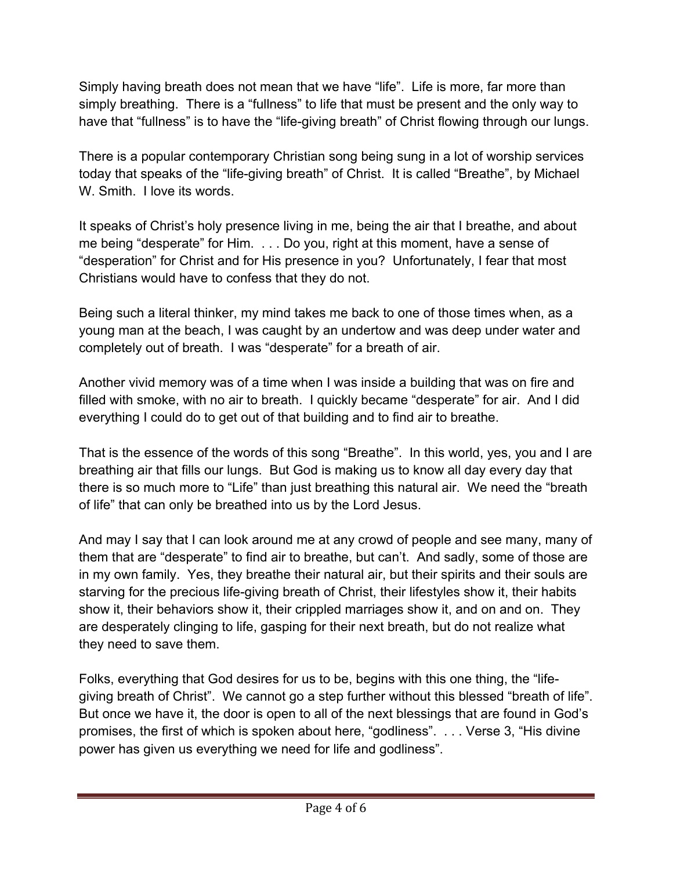Simply having breath does not mean that we have "life". Life is more, far more than simply breathing. There is a "fullness" to life that must be present and the only way to have that "fullness" is to have the "life-giving breath" of Christ flowing through our lungs.

There is a popular contemporary Christian song being sung in a lot of worship services today that speaks of the "life-giving breath" of Christ. It is called "Breathe", by Michael W. Smith. I love its words.

It speaks of Christ's holy presence living in me, being the air that I breathe, and about me being "desperate" for Him. . . . Do you, right at this moment, have a sense of "desperation" for Christ and for His presence in you? Unfortunately, I fear that most Christians would have to confess that they do not.

Being such a literal thinker, my mind takes me back to one of those times when, as a young man at the beach, I was caught by an undertow and was deep under water and completely out of breath. I was "desperate" for a breath of air.

Another vivid memory was of a time when I was inside a building that was on fire and filled with smoke, with no air to breath. I quickly became "desperate" for air. And I did everything I could do to get out of that building and to find air to breathe.

That is the essence of the words of this song "Breathe". In this world, yes, you and I are breathing air that fills our lungs. But God is making us to know all day every day that there is so much more to "Life" than just breathing this natural air. We need the "breath of life" that can only be breathed into us by the Lord Jesus.

And may I say that I can look around me at any crowd of people and see many, many of them that are "desperate" to find air to breathe, but can't. And sadly, some of those are in my own family. Yes, they breathe their natural air, but their spirits and their souls are starving for the precious life-giving breath of Christ, their lifestyles show it, their habits show it, their behaviors show it, their crippled marriages show it, and on and on. They are desperately clinging to life, gasping for their next breath, but do not realize what they need to save them.

Folks, everything that God desires for us to be, begins with this one thing, the "lifegiving breath of Christ". We cannot go a step further without this blessed "breath of life". But once we have it, the door is open to all of the next blessings that are found in God's promises, the first of which is spoken about here, "godliness". . . . Verse 3, "His divine power has given us everything we need for life and godliness".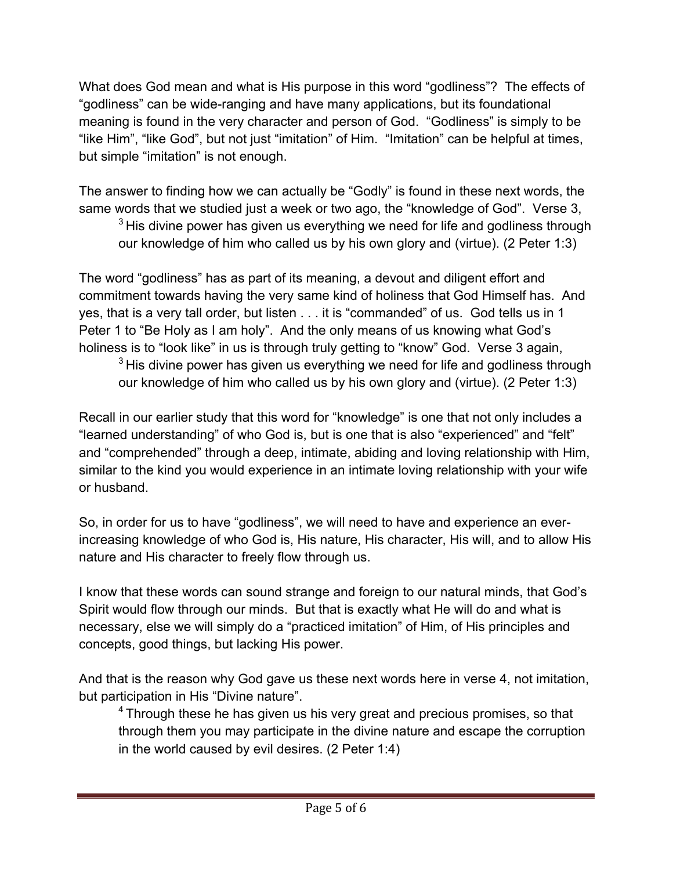What does God mean and what is His purpose in this word "godliness"? The effects of "godliness" can be wide-ranging and have many applications, but its foundational meaning is found in the very character and person of God. "Godliness" is simply to be "like Him", "like God", but not just "imitation" of Him. "Imitation" can be helpful at times, but simple "imitation" is not enough.

The answer to finding how we can actually be "Godly" is found in these next words, the same words that we studied just a week or two ago, the "knowledge of God". Verse 3,

 $3$  His divine power has given us everything we need for life and godliness through our knowledge of him who called us by his own glory and (virtue). (2 Peter 1:3)

The word "godliness" has as part of its meaning, a devout and diligent effort and commitment towards having the very same kind of holiness that God Himself has. And yes, that is a very tall order, but listen . . . it is "commanded" of us. God tells us in 1 Peter 1 to "Be Holy as I am holy". And the only means of us knowing what God's holiness is to "look like" in us is through truly getting to "know" God. Verse 3 again,

 $3$  His divine power has given us everything we need for life and godliness through our knowledge of him who called us by his own glory and (virtue). (2 Peter 1:3)

Recall in our earlier study that this word for "knowledge" is one that not only includes a "learned understanding" of who God is, but is one that is also "experienced" and "felt" and "comprehended" through a deep, intimate, abiding and loving relationship with Him, similar to the kind you would experience in an intimate loving relationship with your wife or husband.

So, in order for us to have "godliness", we will need to have and experience an everincreasing knowledge of who God is, His nature, His character, His will, and to allow His nature and His character to freely flow through us.

I know that these words can sound strange and foreign to our natural minds, that God's Spirit would flow through our minds. But that is exactly what He will do and what is necessary, else we will simply do a "practiced imitation" of Him, of His principles and concepts, good things, but lacking His power.

And that is the reason why God gave us these next words here in verse 4, not imitation, but participation in His "Divine nature".

<sup>4</sup> Through these he has given us his very great and precious promises, so that through them you may participate in the divine nature and escape the corruption in the world caused by evil desires. (2 Peter 1:4)